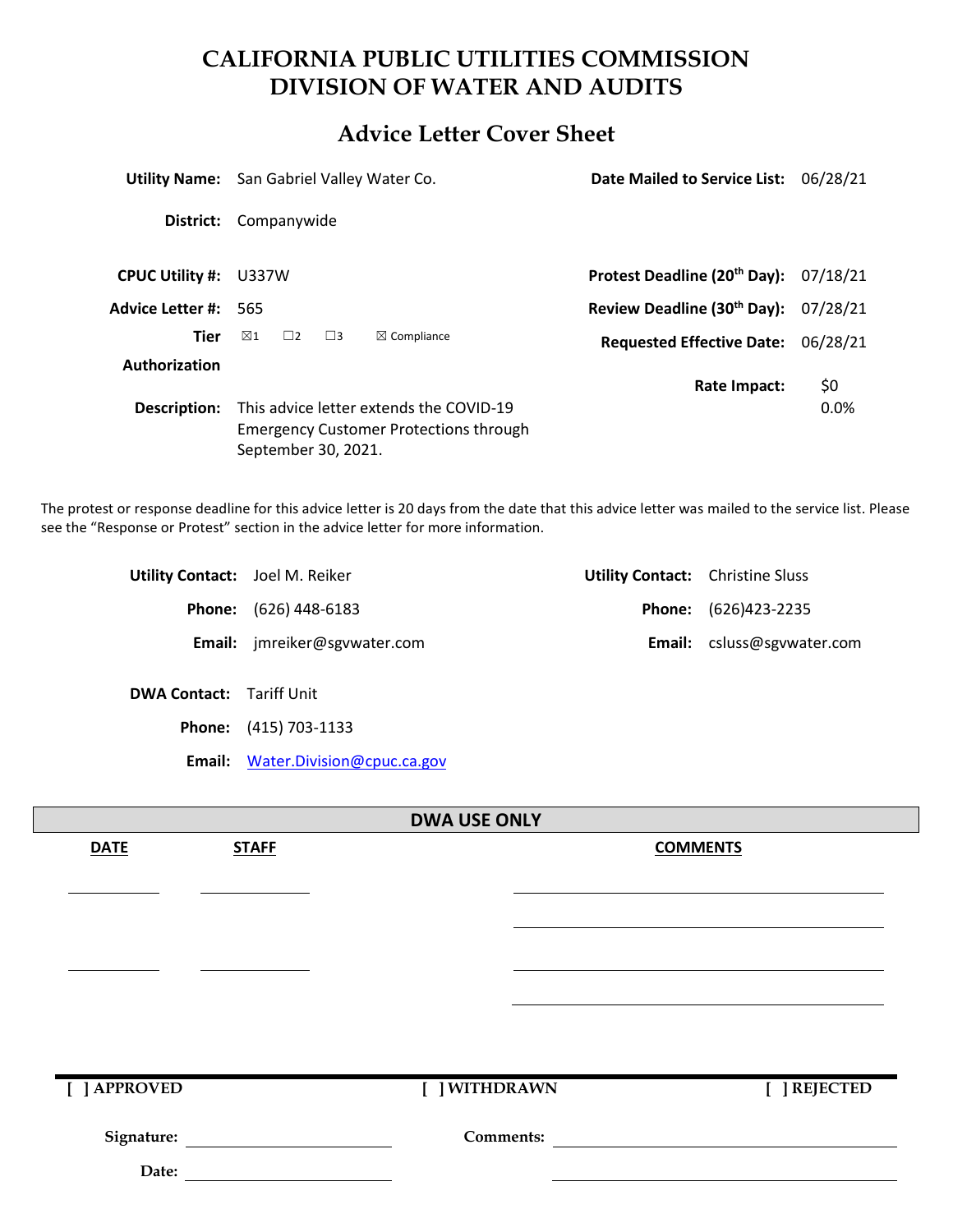## **CALIFORNIA PUBLIC UTILITIES COMMISSION DIVISION OF WATER AND AUDITS**

## **Advice Letter Cover Sheet**

|                        | <b>Utility Name:</b> San Gabriel Valley Water Co.                                                               |                        | Date Mailed to Service List:                        | 06/28/21 |  |
|------------------------|-----------------------------------------------------------------------------------------------------------------|------------------------|-----------------------------------------------------|----------|--|
| District:              | Companywide                                                                                                     |                        |                                                     |          |  |
| <b>CPUC Utility #:</b> | U337W                                                                                                           |                        | Protest Deadline (20 <sup>th</sup> Day): $07/18/21$ |          |  |
| Advice Letter #:       | - 565                                                                                                           |                        | Review Deadline (30 <sup>th</sup> Day): 07/28/21    |          |  |
| <b>Tier</b>            | $\boxtimes$ 1<br>$\Box$ 2<br>$\Box$ 3                                                                           | $\boxtimes$ Compliance | <b>Requested Effective Date:</b>                    | 06/28/21 |  |
| Authorization          |                                                                                                                 |                        | Rate Impact:                                        | \$0      |  |
| Description:           | This advice letter extends the COVID-19<br><b>Emergency Customer Protections through</b><br>September 30, 2021. |                        |                                                     | 0.0%     |  |

The protest or response deadline for this advice letter is 20 days from the date that this advice letter was mailed to the service list. Please see the "Response or Protest" section in the advice letter for more information.

| <b>Utility Contact:</b> Joel M. Reiker |                              | <b>Utility Contact:</b> Christine Sluss |                                   |
|----------------------------------------|------------------------------|-----------------------------------------|-----------------------------------|
|                                        | <b>Phone:</b> (626) 448-6183 |                                         | <b>Phone:</b> (626)423-2235       |
|                                        | Email: jmreiker@sgvwater.com |                                         | <b>Email:</b> csluss@sgvwater.com |
| <b>DWA Contact:</b> Tariff Unit        |                              |                                         |                                   |
|                                        | <b>Phone:</b> (415) 703-1133 |                                         |                                   |

**Email:** [Water.Division@cpuc.ca.gov](mailto:Water.Division@cpuc.ca.gov)

| <b>DWA USE ONLY</b> |              |                  |                 |              |  |  |
|---------------------|--------------|------------------|-----------------|--------------|--|--|
| <b>DATE</b>         | <b>STAFF</b> |                  | <b>COMMENTS</b> |              |  |  |
|                     |              |                  |                 |              |  |  |
|                     |              |                  |                 |              |  |  |
|                     |              |                  |                 |              |  |  |
|                     |              |                  |                 |              |  |  |
|                     |              |                  |                 |              |  |  |
|                     |              |                  |                 |              |  |  |
|                     |              |                  |                 |              |  |  |
| [ ] APPROVED        |              | [ ] WITHDRAWN    |                 | [ ] REJECTED |  |  |
| Signature:          |              | <b>Comments:</b> |                 |              |  |  |
| Date:               |              |                  |                 |              |  |  |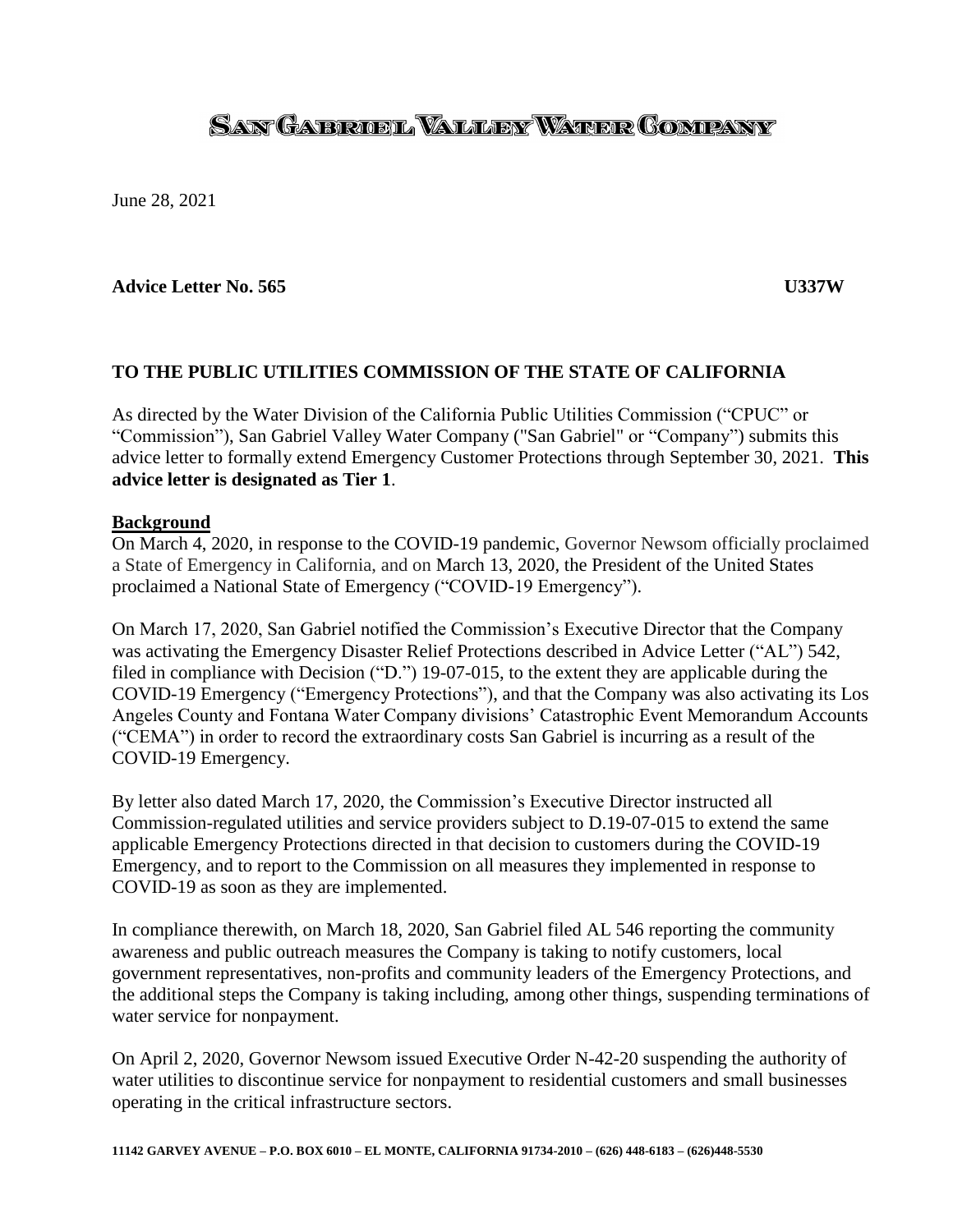# <u>SAN GAERUEL VALLERY WATER COMPANY</u>

June 28, 2021

#### **Advice Letter No. 565 U337W**

## **TO THE PUBLIC UTILITIES COMMISSION OF THE STATE OF CALIFORNIA**

As directed by the Water Division of the California Public Utilities Commission ("CPUC" or "Commission"), San Gabriel Valley Water Company ("San Gabriel" or "Company") submits this advice letter to formally extend Emergency Customer Protections through September 30, 2021. **This advice letter is designated as Tier 1**.

#### **Background**

On March 4, 2020, in response to the COVID-19 pandemic, Governor Newsom officially proclaimed a State of Emergency in California, and on March 13, 2020, the President of the United States proclaimed a National State of Emergency ("COVID-19 Emergency").

On March 17, 2020, San Gabriel notified the Commission's Executive Director that the Company was activating the Emergency Disaster Relief Protections described in Advice Letter ("AL") 542, filed in compliance with Decision ("D.") 19-07-015, to the extent they are applicable during the COVID-19 Emergency ("Emergency Protections"), and that the Company was also activating its Los Angeles County and Fontana Water Company divisions' Catastrophic Event Memorandum Accounts ("CEMA") in order to record the extraordinary costs San Gabriel is incurring as a result of the COVID-19 Emergency.

By letter also dated March 17, 2020, the Commission's Executive Director instructed all Commission-regulated utilities and service providers subject to D.19-07-015 to extend the same applicable Emergency Protections directed in that decision to customers during the COVID-19 Emergency, and to report to the Commission on all measures they implemented in response to COVID-19 as soon as they are implemented.

In compliance therewith, on March 18, 2020, San Gabriel filed AL 546 reporting the community awareness and public outreach measures the Company is taking to notify customers, local government representatives, non-profits and community leaders of the Emergency Protections, and the additional steps the Company is taking including, among other things, suspending terminations of water service for nonpayment.

On April 2, 2020, Governor Newsom issued Executive Order N-42-20 suspending the authority of water utilities to discontinue service for nonpayment to residential customers and small businesses operating in the critical infrastructure sectors.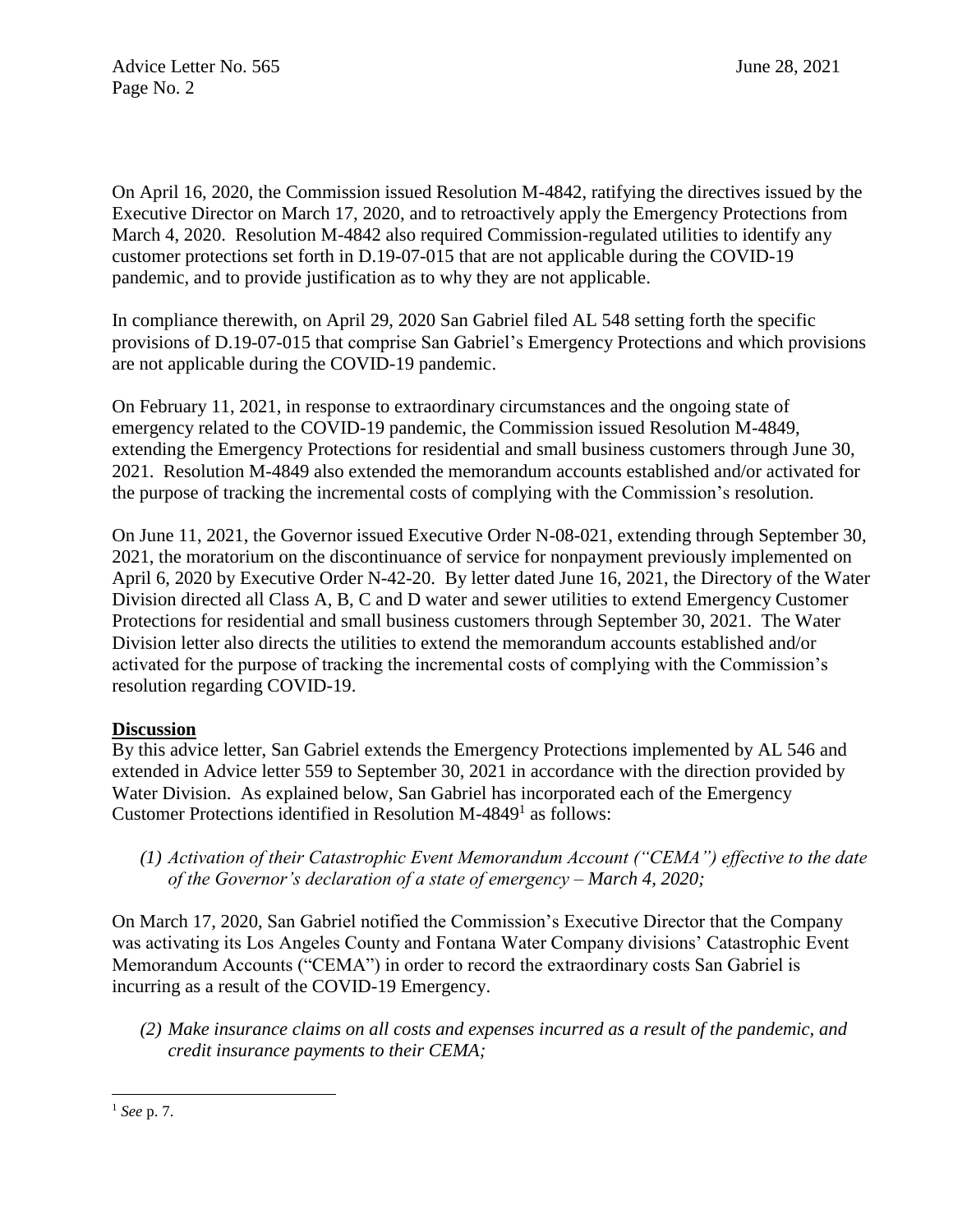On April 16, 2020, the Commission issued Resolution M-4842, ratifying the directives issued by the Executive Director on March 17, 2020, and to retroactively apply the Emergency Protections from March 4, 2020. Resolution M-4842 also required Commission-regulated utilities to identify any customer protections set forth in D.19-07-015 that are not applicable during the COVID-19 pandemic, and to provide justification as to why they are not applicable.

In compliance therewith, on April 29, 2020 San Gabriel filed AL 548 setting forth the specific provisions of D.19-07-015 that comprise San Gabriel's Emergency Protections and which provisions are not applicable during the COVID-19 pandemic.

On February 11, 2021, in response to extraordinary circumstances and the ongoing state of emergency related to the COVID-19 pandemic, the Commission issued Resolution M-4849, extending the Emergency Protections for residential and small business customers through June 30, 2021. Resolution M-4849 also extended the memorandum accounts established and/or activated for the purpose of tracking the incremental costs of complying with the Commission's resolution.

On June 11, 2021, the Governor issued Executive Order N-08-021, extending through September 30, 2021, the moratorium on the discontinuance of service for nonpayment previously implemented on April 6, 2020 by Executive Order N-42-20. By letter dated June 16, 2021, the Directory of the Water Division directed all Class A, B, C and D water and sewer utilities to extend Emergency Customer Protections for residential and small business customers through September 30, 2021. The Water Division letter also directs the utilities to extend the memorandum accounts established and/or activated for the purpose of tracking the incremental costs of complying with the Commission's resolution regarding COVID-19.

## **Discussion**

By this advice letter, San Gabriel extends the Emergency Protections implemented by AL 546 and extended in Advice letter 559 to September 30, 2021 in accordance with the direction provided by Water Division. As explained below, San Gabriel has incorporated each of the Emergency Customer Protections identified in Resolution M-4849 $<sup>1</sup>$  as follows:</sup>

*(1) Activation of their Catastrophic Event Memorandum Account ("CEMA") effective to the date of the Governor's declaration of a state of emergency – March 4, 2020;*

On March 17, 2020, San Gabriel notified the Commission's Executive Director that the Company was activating its Los Angeles County and Fontana Water Company divisions' Catastrophic Event Memorandum Accounts ("CEMA") in order to record the extraordinary costs San Gabriel is incurring as a result of the COVID-19 Emergency.

*(2) Make insurance claims on all costs and expenses incurred as a result of the pandemic, and credit insurance payments to their CEMA;*

l

<sup>1</sup> *See* p. 7.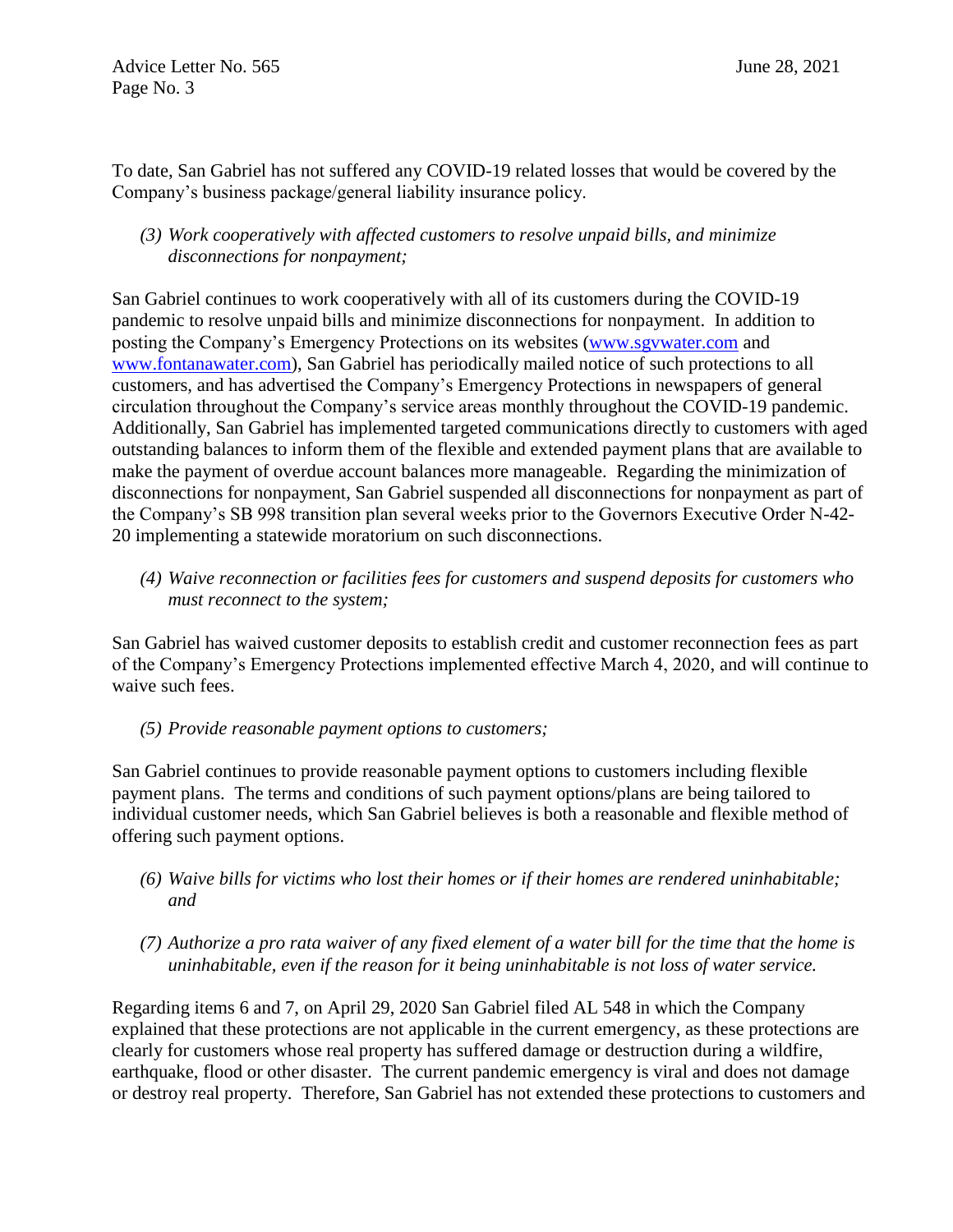Advice Letter No. 565 June 28, 2021 Page No. 3

To date, San Gabriel has not suffered any COVID-19 related losses that would be covered by the Company's business package/general liability insurance policy.

#### *(3) Work cooperatively with affected customers to resolve unpaid bills, and minimize disconnections for nonpayment;*

San Gabriel continues to work cooperatively with all of its customers during the COVID-19 pandemic to resolve unpaid bills and minimize disconnections for nonpayment. In addition to posting the Company's Emergency Protections on its websites [\(www.sgvwater.com](http://www.sgvwater.com/) and [www.fontanawater.com\)](http://www.fontanawater.com/), San Gabriel has periodically mailed notice of such protections to all customers, and has advertised the Company's Emergency Protections in newspapers of general circulation throughout the Company's service areas monthly throughout the COVID-19 pandemic. Additionally, San Gabriel has implemented targeted communications directly to customers with aged outstanding balances to inform them of the flexible and extended payment plans that are available to make the payment of overdue account balances more manageable. Regarding the minimization of disconnections for nonpayment, San Gabriel suspended all disconnections for nonpayment as part of the Company's SB 998 transition plan several weeks prior to the Governors Executive Order N-42- 20 implementing a statewide moratorium on such disconnections.

*(4) Waive reconnection or facilities fees for customers and suspend deposits for customers who must reconnect to the system;*

San Gabriel has waived customer deposits to establish credit and customer reconnection fees as part of the Company's Emergency Protections implemented effective March 4, 2020, and will continue to waive such fees.

*(5) Provide reasonable payment options to customers;*

San Gabriel continues to provide reasonable payment options to customers including flexible payment plans. The terms and conditions of such payment options/plans are being tailored to individual customer needs, which San Gabriel believes is both a reasonable and flexible method of offering such payment options.

- *(6) Waive bills for victims who lost their homes or if their homes are rendered uninhabitable; and*
- *(7) Authorize a pro rata waiver of any fixed element of a water bill for the time that the home is uninhabitable, even if the reason for it being uninhabitable is not loss of water service.*

Regarding items 6 and 7, on April 29, 2020 San Gabriel filed AL 548 in which the Company explained that these protections are not applicable in the current emergency, as these protections are clearly for customers whose real property has suffered damage or destruction during a wildfire, earthquake, flood or other disaster. The current pandemic emergency is viral and does not damage or destroy real property. Therefore, San Gabriel has not extended these protections to customers and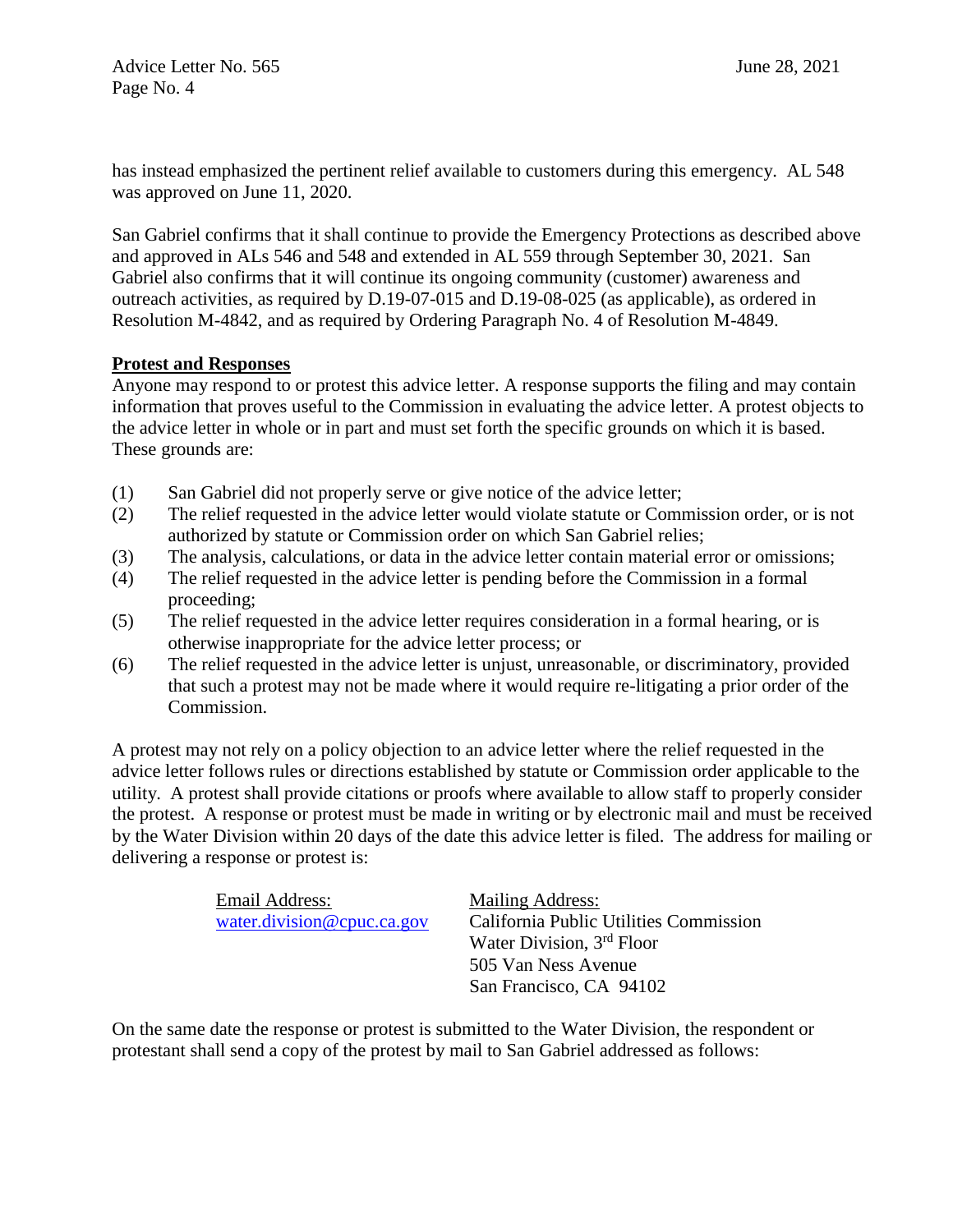has instead emphasized the pertinent relief available to customers during this emergency. AL 548 was approved on June 11, 2020.

San Gabriel confirms that it shall continue to provide the Emergency Protections as described above and approved in ALs 546 and 548 and extended in AL 559 through September 30, 2021. San Gabriel also confirms that it will continue its ongoing community (customer) awareness and outreach activities, as required by D.19-07-015 and D.19-08-025 (as applicable), as ordered in Resolution M-4842, and as required by Ordering Paragraph No. 4 of Resolution M-4849.

## **Protest and Responses**

Anyone may respond to or protest this advice letter. A response supports the filing and may contain information that proves useful to the Commission in evaluating the advice letter. A protest objects to the advice letter in whole or in part and must set forth the specific grounds on which it is based. These grounds are:

- (1) San Gabriel did not properly serve or give notice of the advice letter;
- (2) The relief requested in the advice letter would violate statute or Commission order, or is not authorized by statute or Commission order on which San Gabriel relies;
- (3) The analysis, calculations, or data in the advice letter contain material error or omissions;
- (4) The relief requested in the advice letter is pending before the Commission in a formal proceeding;
- (5) The relief requested in the advice letter requires consideration in a formal hearing, or is otherwise inappropriate for the advice letter process; or
- (6) The relief requested in the advice letter is unjust, unreasonable, or discriminatory, provided that such a protest may not be made where it would require re-litigating a prior order of the Commission.

A protest may not rely on a policy objection to an advice letter where the relief requested in the advice letter follows rules or directions established by statute or Commission order applicable to the utility. A protest shall provide citations or proofs where available to allow staff to properly consider the protest. A response or protest must be made in writing or by electronic mail and must be received by the Water Division within 20 days of the date this advice letter is filed. The address for mailing or delivering a response or protest is:

Email Address: Mailing Address:

[water.division@cpuc.ca.gov](mailto:water.division@cpuc.ca.gov) California Public Utilities Commission Water Division, 3<sup>rd</sup> Floor 505 Van Ness Avenue San Francisco, CA 94102

On the same date the response or protest is submitted to the Water Division, the respondent or protestant shall send a copy of the protest by mail to San Gabriel addressed as follows: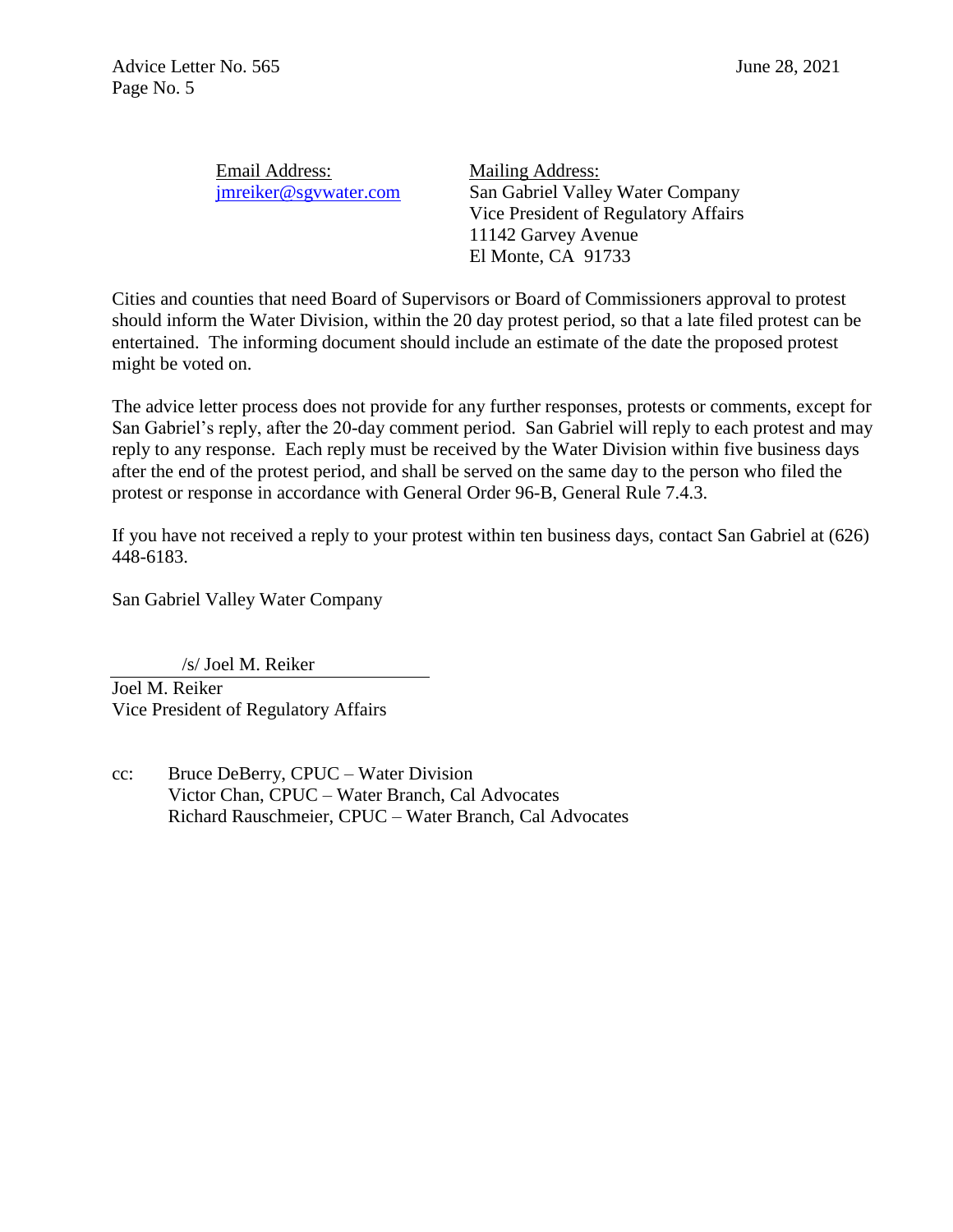| Email Address:        | Mailing  |
|-----------------------|----------|
| jmreiker@sgywater.com | San Gal  |
|                       | Vice Pro |

Address: briel Valley Water Company esident of Regulatory Affairs 11142 Garvey Avenue El Monte, CA 91733

Cities and counties that need Board of Supervisors or Board of Commissioners approval to protest should inform the Water Division, within the 20 day protest period, so that a late filed protest can be entertained. The informing document should include an estimate of the date the proposed protest might be voted on.

The advice letter process does not provide for any further responses, protests or comments, except for San Gabriel's reply, after the 20-day comment period. San Gabriel will reply to each protest and may reply to any response. Each reply must be received by the Water Division within five business days after the end of the protest period, and shall be served on the same day to the person who filed the protest or response in accordance with General Order 96-B, General Rule 7.4.3.

If you have not received a reply to your protest within ten business days, contact San Gabriel at (626) 448-6183.

San Gabriel Valley Water Company

 /s/ Joel M. Reiker Joel M. Reiker Vice President of Regulatory Affairs

cc: Bruce DeBerry, CPUC – Water Division Victor Chan, CPUC – Water Branch, Cal Advocates Richard Rauschmeier, CPUC – Water Branch, Cal Advocates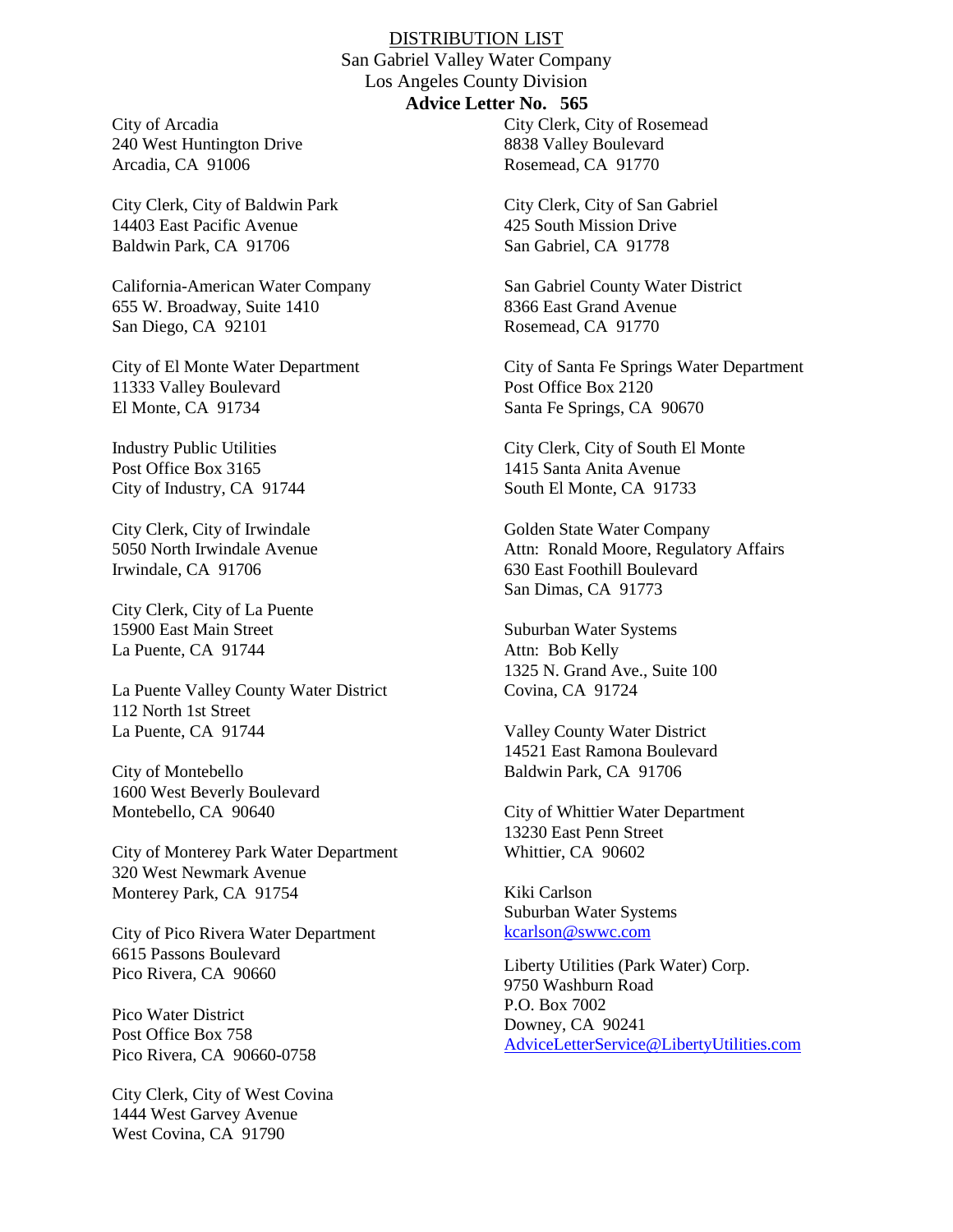#### DISTRIBUTION LIST

San Gabriel Valley Water Company Los Angeles County Division **Advice Letter No. 565**

City of Arcadia 240 West Huntington Drive Arcadia, CA 91006

City Clerk, City of Baldwin Park 14403 East Pacific Avenue Baldwin Park, CA 91706

California-American Water Company 655 W. Broadway, Suite 1410 San Diego, CA 92101

City of El Monte Water Department 11333 Valley Boulevard El Monte, CA 91734

Industry Public Utilities Post Office Box 3165 City of Industry, CA 91744

City Clerk, City of Irwindale 5050 North Irwindale Avenue Irwindale, CA 91706

City Clerk, City of La Puente 15900 East Main Street La Puente, CA 91744

La Puente Valley County Water District 112 North 1st Street La Puente, CA 91744

City of Montebello 1600 West Beverly Boulevard Montebello, CA 90640

City of Monterey Park Water Department 320 West Newmark Avenue Monterey Park, CA 91754

City of Pico Rivera Water Department 6615 Passons Boulevard Pico Rivera, CA 90660

Pico Water District Post Office Box 758 Pico Rivera, CA 90660-0758

City Clerk, City of West Covina 1444 West Garvey Avenue West Covina, CA 91790

City Clerk, City of Rosemead 8838 Valley Boulevard Rosemead, CA 91770

City Clerk, City of San Gabriel 425 South Mission Drive San Gabriel, CA 91778

San Gabriel County Water District 8366 East Grand Avenue Rosemead, CA 91770

City of Santa Fe Springs Water Department Post Office Box 2120 Santa Fe Springs, CA 90670

City Clerk, City of South El Monte 1415 Santa Anita Avenue South El Monte, CA 91733

Golden State Water Company Attn: Ronald Moore, Regulatory Affairs 630 East Foothill Boulevard San Dimas, CA 91773

Suburban Water Systems Attn: Bob Kelly 1325 N. Grand Ave., Suite 100 Covina, CA 91724

Valley County Water District 14521 East Ramona Boulevard Baldwin Park, CA 91706

City of Whittier Water Department 13230 East Penn Street Whittier, CA 90602

Kiki Carlson Suburban Water Systems [kcarlson@swwc.com](mailto:kcarlson@swwc.com)

Liberty Utilities (Park Water) Corp. 9750 Washburn Road P.O. Box 7002 Downey, CA 90241 [AdviceLetterService@LibertyUtilities.com](mailto:AdviceLetterService@LibertyUtilities.com)